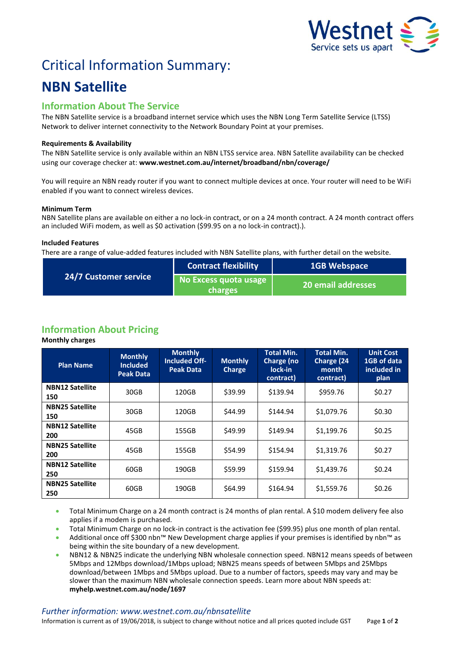

# Critical Information Summary:

# **NBN Satellite**

# **Information About The Service**

The NBN Satellite service is a broadband internet service which uses the NBN Long Term Satellite Service (LTSS) Network to deliver internet connectivity to the Network Boundary Point at your premises.

# **Requirements & Availability**

The NBN Satellite service is only available within an NBN LTSS service area. NBN Satellite availability can be checked using our coverage checker at: **www.westnet.com.au/internet/broadband/nbn/coverage/**

You will require an NBN ready router if you want to connect multiple devices at once. Your router will need to be WiFi enabled if you want to connect wireless devices.

# **Minimum Term**

NBN Satellite plans are available on either a no lock-in contract, or on a 24 month contract. A 24 month contract offers an included WiFi modem, as well as \$0 activation (\$99.95 on a no lock-in contract).).

# **Included Features**

There are a range of value-added features included with NBN Satellite plans, with further detail on the website.

| <b>24/7 Customer service</b> | <b>Contract flexibility</b>      | <b>1GB Webspace</b>       |  |
|------------------------------|----------------------------------|---------------------------|--|
|                              | No Excess quota usage<br>charges | <b>20 email addresses</b> |  |

# **Information About Pricing**

**Monthly charges**

| <b>Plan Name</b>              | <b>Monthly</b><br><b>Included</b><br><b>Peak Data</b> | <b>Monthly</b><br><b>Included Off-</b><br><b>Peak Data</b> | <b>Monthly</b><br><b>Charge</b> | <b>Total Min.</b><br>Charge (no<br>lock-in<br>contract) | <b>Total Min.</b><br>Charge (24<br>month<br>contract) | <b>Unit Cost</b><br>1GB of data<br>included in<br>plan |
|-------------------------------|-------------------------------------------------------|------------------------------------------------------------|---------------------------------|---------------------------------------------------------|-------------------------------------------------------|--------------------------------------------------------|
| <b>NBN12 Satellite</b><br>150 | 30GB                                                  | 120GB                                                      | \$39.99                         | \$139.94                                                | \$959.76                                              | \$0.27                                                 |
| <b>NBN25 Satellite</b><br>150 | 30GB                                                  | 120GB                                                      | \$44.99                         | \$144.94                                                | \$1,079.76                                            | \$0.30                                                 |
| <b>NBN12 Satellite</b><br>200 | 45GB                                                  | 155GB                                                      | \$49.99                         | \$149.94                                                | \$1,199.76                                            | \$0.25                                                 |
| <b>NBN25 Satellite</b><br>200 | 45GB                                                  | 155GB                                                      | \$54.99                         | \$154.94                                                | \$1,319.76                                            | \$0.27                                                 |
| <b>NBN12 Satellite</b><br>250 | 60GB                                                  | 190GB                                                      | \$59.99                         | \$159.94                                                | \$1,439.76                                            | \$0.24                                                 |
| <b>NBN25 Satellite</b><br>250 | 60GB                                                  | 190GB                                                      | \$64.99                         | \$164.94                                                | \$1,559.76                                            | \$0.26                                                 |

- Total Minimum Charge on a 24 month contract is 24 months of plan rental. A \$10 modem delivery fee also applies if a modem is purchased.
- Total Minimum Charge on no lock-in contract is the activation fee (\$99.95) plus one month of plan rental.
- Additional once off \$300 nbn™ New Development charge applies if your premises is identified by nbn™ as being within the site boundary of a new development.
- NBN12 & NBN25 indicate the underlying NBN wholesale connection speed. NBN12 means speeds of between 5Mbps and 12Mbps download/1Mbps upload; NBN25 means speeds of between 5Mbps and 25Mbps download/between 1Mbps and 5Mbps upload. Due to a number of factors, speeds may vary and may be slower than the maximum NBN wholesale connection speeds. Learn more about NBN speeds at: **myhelp.westnet.com.au/node/1697**